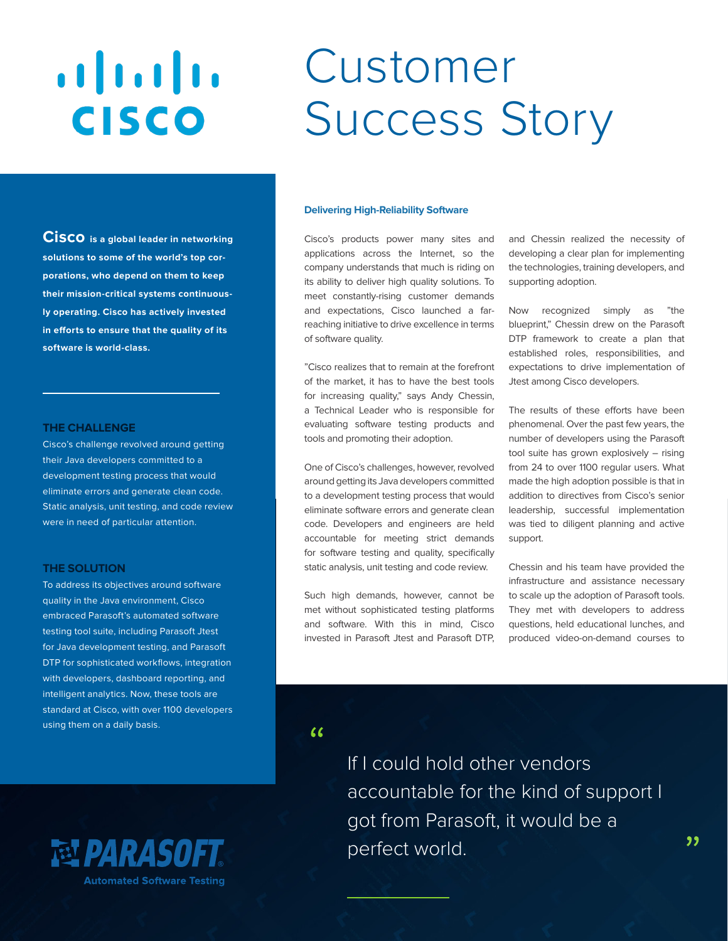# $\frac{1}{2}$ Customer Success Story **CISCO**

**Cisco is a global leader in networking solutions to some of the world's top corporations, who depend on them to keep their mission-critical systems continuously operating. Cisco has actively invested** 

#### **THE CHALLENGE**

**software is world-class.** 

Cisco's challenge revolved around getting their Java developers committed to a development testing process that would eliminate errors and generate clean code. Static analysis, unit testing, and code review were in need of particular attention.

**in efforts to ensure that the quality of its** 

# **THE SOLUTION**

To address its objectives around software quality in the Java environment, Cisco embraced Parasoft's automated software testing tool suite, including Parasoft Jtest for Java development testing, and Parasoft DTP for sophisticated workflows, integration with developers, dashboard reporting, and intelligent analytics. Now, these tools are standard at Cisco, with over 1100 developers using them on a daily basis.



#### **Delivering High-Reliability Software**

Cisco's products power many sites and applications across the Internet, so the company understands that much is riding on its ability to deliver high quality solutions. To meet constantly-rising customer demands and expectations, Cisco launched a farreaching initiative to drive excellence in terms of software quality.

"Cisco realizes that to remain at the forefront of the market, it has to have the best tools for increasing quality," says Andy Chessin, a Technical Leader who is responsible for evaluating software testing products and tools and promoting their adoption.

One of Cisco's challenges, however, revolved around getting its Java developers committed to a development testing process that would eliminate software errors and generate clean code. Developers and engineers are held accountable for meeting strict demands for software testing and quality, specifically static analysis, unit testing and code review.

Such high demands, however, cannot be met without sophisticated testing platforms and software. With this in mind, Cisco invested in Parasoft Jtest and Parasoft DTP, and Chessin realized the necessity of developing a clear plan for implementing the technologies, training developers, and supporting adoption.

Now recognized simply as "the blueprint," Chessin drew on the Parasoft DTP framework to create a plan that established roles, responsibilities, and expectations to drive implementation of Jtest among Cisco developers.

The results of these efforts have been phenomenal. Over the past few years, the number of developers using the Parasoft tool suite has grown explosively – rising from 24 to over 1100 regular users. What made the high adoption possible is that in addition to directives from Cisco's senior leadership, successful implementation was tied to diligent planning and active support.

Chessin and his team have provided the infrastructure and assistance necessary to scale up the adoption of Parasoft tools. They met with developers to address questions, held educational lunches, and produced video-on-demand courses to

 $\epsilon$ 

If I could hold other vendors accountable for the kind of support I got from Parasoft, it would be a perfect world.